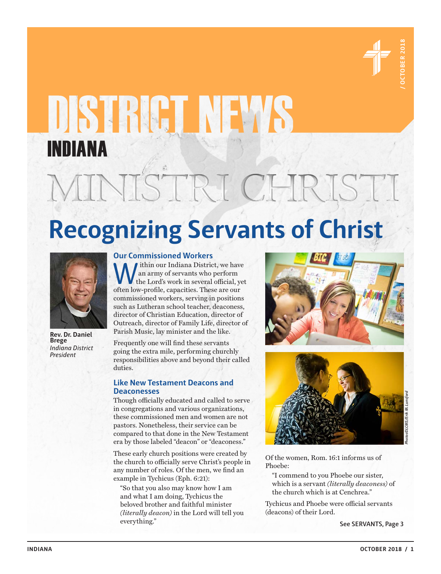

# **INDIANA**<br>
MINISTRICHRISTI<br>
Recognizing Servants of Christ<br>
WELL DERISTI<br>
CONTRACT PRESERVANTS OF CHRISTIAN<br>
CONTRACT PRESERVANT<br>
CONTRACT PRESERVANT<br>
CONTRACT PRESERVANT INDIANA

# **Recognizing Servants of Christ**



**Rev. Dr. Daniel Brege** *Indiana District President*

# **Our Commissioned Workers**

ithin our Indiana District, we have an army of servants who perform the Lord's work in several official, yet often low-profile, capacities. These are our commissioned workers, serving in positions such as Lutheran school teacher, deaconess, director of Christian Education, director of Outreach, director of Family Life, director of Parish Music, lay minister and the like.

Frequently one will find these servants going the extra mile, performing churchly responsibilities above and beyond their called duties.

# **Like New Testament Deacons and Deaconesses**

Though officially educated and called to serve in congregations and various organizations, these commissioned men and women are not pastors. Nonetheless, their service can be compared to that done in the New Testament era by those labeled "deacon" or "deaconess."

These early church positions were created by the church to officially serve Christ's people in any number of roles. Of the men, we find an example in Tychicus (Eph. 6:21):

"So that you also may know how I am and what I am doing, Tychicus the beloved brother and faithful minister *(literally deacon)* in the Lord will tell you everything."





Of the women, Rom. 16:1 informs us of Phoebe:

"I commend to you Phoebe our sister, which is a servant *(literally deaconess)* of the church which is at Cenchrea."

Tychicus and Phoebe were official servants (deacons) of their Lord.

**See SERVANTS, Page 3**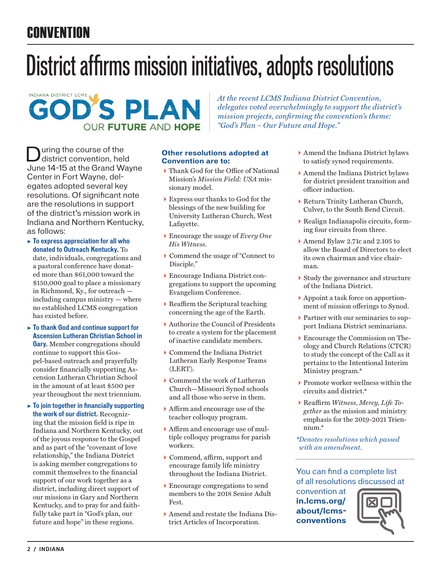# **CONVENTION**

# District affirms mission initiatives, adopts resolutions



*At the recent LCMS Indiana District Convention, delegates voted overwhelmingly to support the district's mission projects, confirming the convention's theme: "God's Plan – Our Future and Hope."* 

uring the course of the district convention, held June 14-15 at the Grand Wayne Center in Fort Wayne, delegates adopted several key resolutions. Of significant note are the resolutions in support of the district's mission work in Indiana and Northern Kentucky, as follows:

- ▶ **To express appreciation for all who donated to Outreach Kentucky.** To date, individuals, congregations and a pastoral conference have donated more than \$61,000 toward the \$150,000 goal to place a missionary in Richmond, Ky., for outreach including campus ministry — where no established LCMS congregation has existed before.
- ▶ **To thank God and continue support for Ascension Lutheran Christian School in Gary.** Member congregations should continue to support this Gospel-based outreach and prayerfully consider financially supporting Ascension Lutheran Christian School in the amount of at least \$500 per year throughout the next triennium.
- ▶ **To join together in financially supporting the work of our district.** Recogniz-

ing that the mission field is ripe in Indiana and Northern Kentucky, out of the joyous response to the Gospel and as part of the "covenant of love relationship," the Indiana District is asking member congregations to commit themselves to the financial support of our work together as a district, including direct support of our missions in Gary and Northern Kentucky, and to pray for and faithfully take part in "God's plan, our future and hope" in these regions.

# **Other resolutions adopted at Convention are to:**

- Thank God for the Office of National Mission's *Mission Field: USA* missionary model.
- Express our thanks to God for the blessings of the new building for University Lutheran Church, West Lafayette.
- Encourage the usage of *Every One His Witness*.
- Commend the usage of "Connect to Disciple."
- Encourage Indiana District congregations to support the upcoming Evangelism Conference.
- Reaffirm the Scriptural teaching concerning the age of the Earth.
- Authorize the Council of Presidents to create a system for the placement of inactive candidate members.
- Commend the Indiana District Lutheran Early Response Teams (LERT).
- Commend the work of Lutheran Church—Missouri Synod schools and all those who serve in them.
- Affirm and encourage use of the teacher colloquy program.
- Affirm and encourage use of multiple colloquy programs for parish workers.
- Commend, affirm, support and encourage family life ministry throughout the Indiana District.
- Encourage congregations to send members to the 2018 Senior Adult Fest.
- Amend and restate the Indiana District Articles of Incorporation.
- Amend the Indiana District bylaws to satisfy synod requirements.
- Amend the Indiana District bylaws for district president transition and officer induction.
- Return Trinity Lutheran Church, Culver, to the South Bend Circuit.
- Realign Indianapolis circuits, forming four circuits from three.
- Amend Bylaw 2.71c and 2.105 to allow the Board of Directors to elect its own chairman and vice chairman.
- Study the governance and structure of the Indiana District.
- Appoint a task force on apportionment of mission offerings to Synod.
- Partner with our seminaries to support Indiana District seminarians.
- Encourage the Commission on Theology and Church Relations (CTCR) to study the concept of the Call as it pertains to the Intentional Interim Ministry program.\*
- $\blacktriangleright$  Promote worker wellness within the circuits and district.\*
- Reaffirm *Witness, Mercy, Life Together* as the mission and ministry emphasis for the 2019-2021 Triennium.\*

*\*Denotes resolutions which passed with an amendment.*

# You can find a complete list of all resolutions discussed at

convention at **in.lcms.org/ about/lcmsconventions**

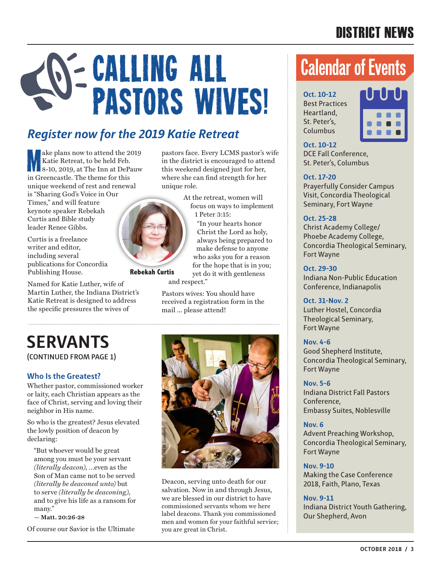# DISTRICT NEWS

# Calling All **Calendar of Events PASTORS WIVES! Deset Practi**

# *Register now for the 2019 Katie Retreat*

M ake plans now to attend the 2019 Katie Retreat, to be held Feb. 8-10, 2019, at The Inn at DePauw in Greencastle. The theme for this unique weekend of rest and renewal is "Sharing God's Voice in Our Times," and will feature keynote speaker Rebekah Curtis and Bible study leader Renee Gibbs.

Curtis is a freelance writer and editor, including several publications for Concordia Publishing House.

Named for Katie Luther, wife of Martin Luther, the Indiana District's Katie Retreat is designed to address the specific pressures the wives of



At the retreat, women will focus on ways to implement 1 Peter 3:15:

"In your hearts honor Christ the Lord as holy, always being prepared to make defense to anyone who asks you for a reason for the hope that is in you; yet do it with gentleness

and respect."

**Rebekah Curtis**

Pastors wives: You should have received a registration form in the mail ... please attend!

# **SERVANTS**

**(CONTINUED FROM PAGE 1)**

# **Who Is the Greatest?**

Whether pastor, commissioned worker or laity, each Christian appears as the face of Christ, serving and loving their neighbor in His name.

So who is the greatest? Jesus elevated the lowly position of deacon by declaring:

"But whoever would be great among you must be your servant *(literally deacon)*, …even as the Son of Man came not to be served *(literally be deaconed unto)* but to serve *(literally be deaconing)*, and to give his life as a ransom for many."

**— Matt. 20:26-28**

Of course our Savior is the Ultimate



Deacon, serving unto death for our salvation. Now in and through Jesus, we are blessed in our district to have commissioned servants whom we here label deacons. Thank you commissioned men and women for your faithful service; **Example 28 A. Lunsford School are great in Christ.** The are blessed in our commissioned servants label deacons. Thank y

Best Practices Heartland, St. Peter's, Columbus



**Oct. 10-12** DCE Fall Conference, St. Peter's, Columbus

# **Oct. 17-20**

Prayerfully Consider Campus Visit, Concordia Theological Seminary, Fort Wayne

# **Oct. 25-28**

Christ Academy College/ Phoebe Academy College, Concordia Theological Seminary, Fort Wayne

# **Oct. 29-30**

Indiana Non-Public Education Conference, Indianapolis

# **Oct. 31-Nov. 2**

Luther Hostel, Concordia Theological Seminary, Fort Wayne

# **Nov. 4-6**

Good Shepherd Institute, Concordia Theological Seminary, Fort Wayne

# **Nov. 5-6**

Indiana District Fall Pastors Conference, Embassy Suites, Noblesville

# **Nov. 6**

Advent Preaching Workshop, Concordia Theological Seminary, Fort Wayne

# **Nov. 9-10**

Making the Case Conference 2018, Faith, Plano, Texas

# **Nov. 9-11**

Indiana District Youth Gathering, Our Shepherd, Avon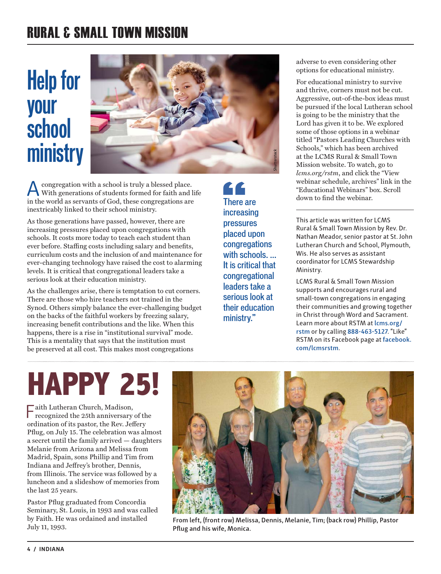# RURAL & SMALL TOWN MISSION

# **Help for your school ministry**



congregation with a school is truly a blessed place. With generations of students formed for faith and life in the world as servants of God, these congregations are inextricably linked to their school ministry.

As those generations have passed, however, there are increasing pressures placed upon congregations with schools. It costs more today to teach each student than ever before. Staffing costs including salary and benefits, curriculum costs and the inclusion of and maintenance for ever-changing technology have raised the cost to alarming levels. It is critical that congregational leaders take a serious look at their education ministry.

As the challenges arise, there is temptation to cut corners. There are those who hire teachers not trained in the Synod. Others simply balance the ever-challenging budget on the backs of the faithful workers by freezing salary, increasing benefit contributions and the like. When this happens, there is a rise in "institutional survival" mode. This is a mentality that says that the institution must be preserved at all cost. This makes most congregations

LL increasing pressures placed upon **congregations** with schools. ... It is critical that congregational leaders take a serious look at their education ministry."

adverse to even considering other options for educational ministry.

For educational ministry to survive and thrive, corners must not be cut. Aggressive, out-of-the-box ideas must be pursued if the local Lutheran school is going to be the ministry that the Lord has given it to be. We explored some of those options in a webinar titled "Pastors Leading Churches with Schools," which has been archived at the LCMS Rural & Small Town Mission website. To watch, go to *lcms.org/rstm*, and click the "View webinar schedule, archives" link in the "Educational Webinars" box. Scroll There are down to find the webinar.

> This article was written for LCMS Rural & Small Town Mission by Rev. Dr. Nathan Meador, senior pastor at St. John Lutheran Church and School, Plymouth, Wis. He also serves as assistant coordinator for LCMS Stewardship Ministry.

> LCMS Rural & Small Town Mission supports and encourages rural and small-town congregations in engaging their communities and growing together in Christ through Word and Sacrament. Learn more about RSTM at **lcms.org/ rstm** or by calling **888-463-5127**. "Like" RSTM on its Facebook page at **facebook. com/lcmsrstm**.

# **HAPPY 25!**

 $\fbox{\parbox{1.5cm}{ \begin{minipage}{0.9cm} \begin{tabular}{c} \bf{a}} \bf{i} & \bf{i} & \bf{i} \\ \bf{i} & \bf{i} \\ \bf{i} & \bf{i} \end{tabular} \end{minipage} } \begin{minipage}{0.9cm} \begin{tabular}{c} \bf{a} & \bf{i} \\ \bf{i} \\ \bf{i} \end{tabular} \end{minipage} } \begin{minipage}{0.9cm} \begin{tabular}{c} \bf{a} & \bf{i} \\ \bf{i} \\ \bf{i} \end{tabular} \end{minipage} } \begin{minipage}{0.9cm} \begin{$ ordination of its pastor, the Rev. Jeffery Pflug, on July 15. The celebration was almost a secret until the family arrived — daughters Melanie from Arizona and Melissa from Madrid, Spain, sons Phillip and Tim from Indiana and Jeffrey's brother, Dennis, from Illinois. The service was followed by a luncheon and a slideshow of memories from the last 25 years.

Pastor Pflug graduated from Concordia Seminary, St. Louis, in 1993 and was called by Faith. He was ordained and installed July 11, 1993.



**From left, (front row) Melissa, Dennis, Melanie, Tim; (back row) Phillip, Pastor Pflug and his wife, Monica.**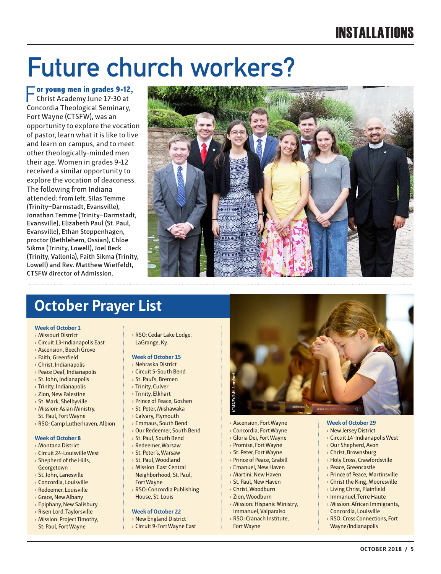# INSTALLATIONS

# **Future church workers?**

F**or young men in grades 9-12,** Christ Academy June 17-30 at Concordia Theological Seminary, Fort Wayne (CTSFW), was an opportunity to explore the vocation of pastor, learn what it is like to live and learn on campus, and to meet other theologically-minded men their age. Women in grades 9-12 received a similar opportunity to explore the vocation of deaconess. The following from Indiana attended: **from left, Silas Temme (Trinity–Darmstadt, Evansville), Jonathan Temme (Trinity–Darmstadt, Evansville), Elizabeth Paul (St. Paul, Evansville), Ethan Stoppenhagen, proctor (Bethlehem, Ossian), Chloe Sikma (Trinity, Lowell), Joel Beck (Trinity, Vallonia), Faith Sikma (Trinity, Lowell) and Rev. Matthew Wietfeldt, CTSFW director of Admission.**



# **October Prayer List**

### **Week of October 1**

- › Missouri District
- › Circuit 13-Indianapolis East
- › Ascension, Beech Grove
- › Faith, Greenfield
- › Christ, Indianapolis
- › Peace Deaf, Indianapolis
- $\rightarrow$  St. John, Indianapolis › Trinity, Indianapolis
- › Zion, New Palestine
- › St. Mark, Shelbyville
- › Mission: Asian Ministry,
- St. Paul, Fort Wayne › RSO: Camp Lutherhaven, Albion

### **Week of October 8**

- › Montana District
- › Circuit 24-Louisville West
- › Shepherd of the Hills, Georgetown
- › St. John, Lanesville
- › Concordia, Louisville
- › Redeemer, Louisville
- › Grace, New Albany
- › Epiphany, New Salisbury › Risen Lord, Taylorsville
- › Mission: Project Timothy, St. Paul, Fort Wayne

› RSO: Cedar Lake Lodge, LaGrange, Ky.

# **Week of October 15**

- › Nebraska District
- › Circuit 5-South Bend › St. Paul's, Bremen
- › Trinity, Culver
- › Trinity, Elkhart
- › Prince of Peace, Goshen
- › St. Peter, Mishawaka
- › Calvary, Plymouth
- › Emmaus, South Bend
- › Our Redeemer, South Bend
- › St. Paul, South Bend
- › Redeemer, Warsaw
- › St. Peter's, Warsaw
- › St. Paul, Woodland
- › Mission: East Central Neighborhood, St. Paul,
- Fort Wayne › RSO: Concordia Publishing
- House, St. Louis

### **Week of October 22**

- › New England District
- › Circuit 9-Fort Wayne East



- › Ascension, Fort Wayne
- › Concordia, Fort Wayne
- › Gloria Dei, Fort Wayne
- › Promise, Fort Wayne
- › St. Peter, Fort Wayne
- › Prince of Peace, Grabill
- › Emanuel, New Haven
- › Martini, New Haven
- › St. Paul, New Haven
- › Christ, Woodburn
- › Zion, Woodburn
- › Mission: Hispanic Ministry, Immanuel, Valparaiso
- › RSO: Cranach Institute,
- Fort Wayne

### **Week of October 29**

- › New Jersey District
- › Circuit 14-Indianapolis West
- › Our Shepherd, Avon
- › Christ, Brownsburg
- › Holy Cross, Crawfordsville
- › Peace, Greencastle
- › Prince of Peace, Martinsville
- › Christ the King, Mooresville
- › Living Christ, Plainfield › Immanuel, Terre Haute
- 
- › Mission: African Immigrants, Concordia, Louisville
- › RSO: Cross Connections, Fort Wayne/Indianapolis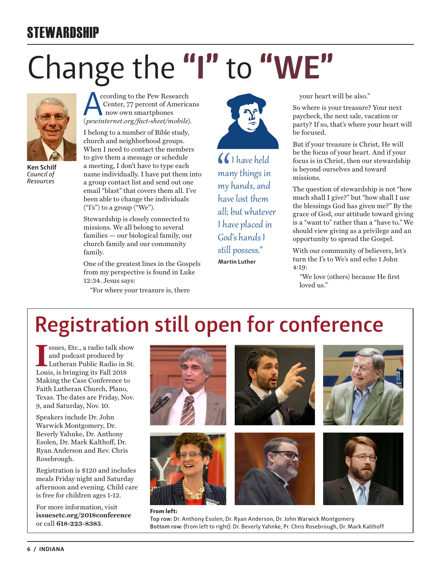# **STEWARDSHIP**

# Change the **"I"** to **"WE"**



**Ken Schilf** *Council of Resources*

ccording to the Pew Research Center, 77 percent of Americans now own smartphones (*pewinternet.org/fact-sheet/mobile*).

I belong to a number of Bible study, church and neighborhood groups. When I need to contact the members to give them a message or schedule a meeting, I don't have to type each name individually. I have put them into a group contact list and send out one email "blast" that covers them all. I've been able to change the individuals  $("I's")$  to a group  $("We")$ .

Stewardship is closely connected to missions. We all belong to several families — our biological family, our church family and our community family.

One of the greatest lines in the Gospels from my perspective is found in Luke 12:34. Jesus says:

"For where your treasure is, there



I have held many things in my hands, and have lost them all; but whatever I have placed in God's hands I still possess." **Martin Luther**

your heart will be also."

So where is your treasure? Your next paycheck, the next sale, vacation or party? If so, that's where your heart will be focused.

But if your treasure is Christ, He will be the focus of your heart. And if your focus is in Christ, then our stewardship is beyond ourselves and toward missions.

The question of stewardship is not "how much shall I give?" but "how shall I use the blessings God has given me?" By the grace of God, our attitude toward giving is a "want to" rather than a "have to." We should view giving as a privilege and an opportunity to spread the Gospel.

With our community of believers, let's turn the I's to We's and echo 1 John  $4.10 \cdot$ 

*"*We love (others) because He first loved us."

# **Registration still open for conference**

ISSUES, Etc., a radio talk show and podcast produced by Lutheran Public Radio in Solution 1, 2018 ssues, Etc., a radio talk show and podcast produced by Lutheran Public Radio in St. Making the Case Conference to Faith Lutheran Church, Plano, Texas. The dates are Friday, Nov. 9, and Saturday, Nov. 10.

Speakers include Dr. John Warwick Montgomery, Dr. Beverly Yahnke, Dr. Anthony Esolen, Dr. Mark Kalthoff, Dr. Ryan Anderson and Rev. Chris Rosebrough.

Registration is \$120 and includes meals Friday night and Saturday afternoon and evening. Child care is free for children ages 1-12.

For more information, visit **issuesetc.org/2018conference** or call **618-223-8385**.



### **From left: Top row:** Dr. Anthony Esolen, Dr. Ryan Anderson, Dr. John Warwick Montgomery **Bottom row:** (from left to right): Dr. Beverly Yahnke, Pr. Chris Rosebrough, Dr. Mark Kalthoff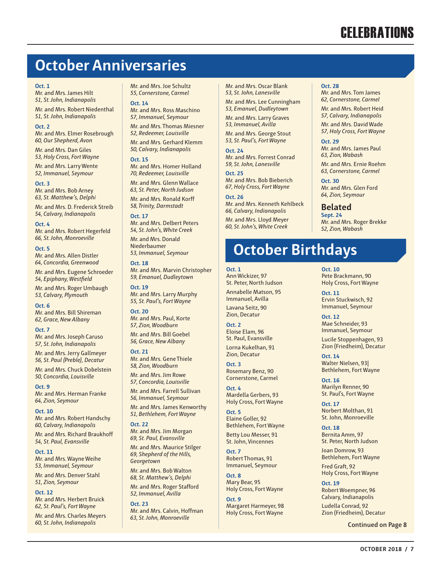# **CELEBRATIONS**

# **October Anniversaries**

### **Oct. 1**

Mr. and Mrs. James Hilt *51, St. John, Indianapolis* Mr. and Mrs. Robert Niedenthal *51, St. John, Indianapolis*

### **Oct. 2**

Mr. and Mrs. Elmer Rosebrough *60, Our Shepherd, Avon*

Mr. and Mrs. Dan Giles *53, Holy Cross, Fort Wayne*

Mr. and Mrs. Larry Wente *52, Immanuel, Seymour*

**Oct. 3** Mr. and Mrs. Bob Arney *63, St. Matthew's, Delphi*

Mr. and Mrs. D. Frederick Streib *54, Calvary, Indianapolis*

**Oct. 4**

Mr. and Mrs. Robert Hegerfeld *66, St. John, Monroeville*

**Oct. 5**

Mr. and Mrs. Allen Distler *64, Concordia, Greenwood*

Mr. and Mrs. Eugene Schroeder *54, Epiphany, Westfield*

Mr. and Mrs. Roger Umbaugh *53, Calvary, Plymouth*

**Oct. 6** Mr. and Mrs. Bill Shireman *62, Grace, New Albany* 

**Oct. 7**

Mr. and Mrs. Joseph Caruso *57, St. John, Indianapolis*

Mr. and Mrs. Jerry Gallmeyer *56, St. Paul (Preble), Decatur*

Mr. and Mrs. Chuck Dobelstein *50, Concordia, Louisville*

**Oct. 9** Mr. and Mrs. Herman Franke *64, Zion, Seymour*

**Oct. 10** Mr. and Mrs. Robert Handschy *60, Calvary, Indianapolis*

Mr. and Mrs. Richard Braukhoff *54, St. Paul, Evansville*

**Oct. 11** Mr. and Mrs. Wayne Weihe *53, Immanuel, Seymour*

Mr. and Mrs. Denver Stahl *51, Zion, Seymour*

**Oct. 12**

Mr. and Mrs. Herbert Bruick *62, St. Paul's, Fort Wayne*

Mr. and Mrs. Charles Meyers *60, St. John, Indianapolis*

Mr. and Mrs. Joe Schultz *55, Cornerstone, Carmel*

**Oct. 14**

Mr. and Mrs. Ross Maschino *57, Immanuel, Seymour*

Mr. and Mrs. Thomas Miesner *52, Redeemer, Louisville*

Mr. and Mrs. Gerhard Klemm *50, Calvary, Indianapolis*

### **Oct. 15**

Mr. and Mrs. Homer Holland *70, Redeemer, Louisville*  Mr. and Mrs. Glenn Wallace

*63, St. Peter, North Judson* Mr. and Mrs. Ronald Korff *58, Trinity, Darmstadt*

**Oct. 17**

Mr. and Mrs. Delbert Peters *54, St. John's, White Creek* Mr. and Mrs. Donald

Niederbaumer *53, Immanuel, Seymour*

**Oct. 18**

Mr. and Mrs. Marvin Christopher *59, Emanuel, Dudleytown*

**Oct. 19** Mr. and Mrs. Larry Murphy *55, St. Paul's, Fort Wayne*

**Oct. 20** Mr. and Mrs. Paul, Korte *57, Zion, Woodburn* Mr. and Mrs. Bill Goebel

*56, Grace, New Albany*

**Oct. 21**

Mr. and Mrs. Gene Thiele *58, Zion, Woodburn*

Mr. and Mrs. Jim Rowe *57, Concordia, Louisville* Mr. and Mrs. Farrell Sullivan

*56, Immanuel, Seymour* Mr. and Mrs. James Kenworthy

*51, Bethlehem, Fort Wayne* **Oct. 22**

Mr. and Mrs. Jim Morgan *69, St. Paul, Evansville*

Mr. and Mrs. Maurice Stilger *69, Shepherd of the Hills, Georgetown*

Mr. and Mrs. Bob Walton *68, St. Matthew's, Delphi* Mr. and Mrs. Roger Stafford *52, Immanuel, Avilla*

**Oct. 23** Mr. and Mrs. Calvin, Hoffman *63, St. John, Monroeville*

Mr. and Mrs. Oscar Blank *53, St. John, Lanesville*

Mr. and Mrs. Lee Cunningham *53, Emanuel, Dudleytown*

Mr. and Mrs. Larry Graves *53, Immanuel, Avilla*

Mr. and Mrs. George Stout *53, St. Paul's, Fort Wayne*

**Oct. 24**

Mr. and Mrs. Forrest Conrad *59, St. John, Lanesville*

**Oct. 25** Mr. and Mrs. Bob Bieberich *67, Holy Cross, Fort Wayne*

**Oct. 26** Mr. and Mrs. Kenneth Kehlbeck

*66, Calvary, Indianapolis* Mr. and Mrs. Lloyd Meyer *60, St. John's, White Creek*

# **October Birthdays**

### **Oct. 1**

Ann Wickizer, 97 St. Peter, North Judson Annabelle Matson, 95 Immanuel, Avilla

Lavana Seitz, 90 Zion, Decatur

**Oct. 2**

Eloise Elam, 96 St. Paul, Evansville Lorna Kukelhan, 91 Zion, Decatur

**Oct. 3** Rosemary Benz, 90 Cornerstone, Carmel

**Oct. 4** Mardella Gerbers, 93 Holy Cross, Fort Wayne

**Oct. 5** Elaine Goller, 92 Bethlehem, Fort Wayne Betty Lou Messer, 91

St. John, Vincennes **Oct. 7** Robert Thomas, 91 Immanuel, Seymour

**Oct. 8** Mary Bear, 95 Holy Cross, Fort Wayne

**Oct. 9** Margaret Harmeyer, 98 Holy Cross, Fort Wayne

**Oct. 28**

Mr. and Mrs. Tom James *62, Cornerstone, Carmel*

Mr. and Mrs. Robert Heid *57, Calvary, Indianapolis* 

Mr. and Mrs. David Wade *57, Holy Cross, Fort Wayne*

**Oct. 29** Mr. and Mrs. James Paul

*63, Zion, Wabash* Mr. and Mrs. Ernie Roehm *63, Cornerstone, Carmel*

**Oct. 30** Mr. and Mrs. Glen Ford *64, Zion, Seymour*

**Belated Sept. 24**

Mr. and Mrs. Roger Brekke *52, Zion, Wabash*

**Oct. 10**

Pete Brackmann, 90 Holy Cross, Fort Wayne

**Oct. 11** Ervin Stuckwisch, 92 Immanuel, Seymour

**Oct. 12** Mae Schneider, 93 Immanuel, Seymour

Lucile Stoppenhagen, 93 Zion (Friedheim), Decatur

**Oct. 14** Walter Nielsen, 93| Bethlehem, Fort Wayne

**Oct. 16** Marilyn Renner, 90 St. Paul's, Fort Wayne

**Oct. 17** Norbert Molthan, 91 St. John, Monroeville

**Oct. 18** Bernita Amm, 97 St. Peter, North Judson

Joan Domrow, 93 Bethlehem, Fort Wayne

Fred Graft, 92 Holy Cross, Fort Wayne

**Oct. 19** Robert Woempner, 96 Calvary, Indianapolis

Ludella Conrad, 92 Zion (Friedheim), Decatur

**Continued on Page 8**